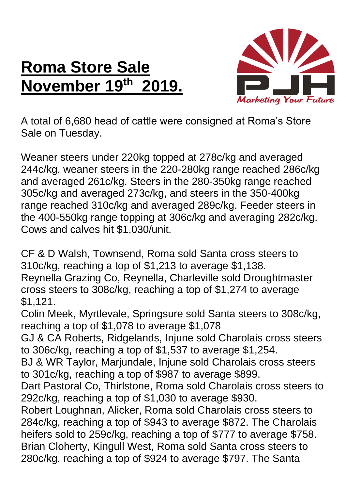## **Roma Store Sale November 19 th 2019.**



A total of 6,680 head of cattle were consigned at Roma's Store Sale on Tuesday.

Weaner steers under 220kg topped at 278c/kg and averaged 244c/kg, weaner steers in the 220-280kg range reached 286c/kg and averaged 261c/kg. Steers in the 280-350kg range reached 305c/kg and averaged 273c/kg, and steers in the 350-400kg range reached 310c/kg and averaged 289c/kg. Feeder steers in the 400-550kg range topping at 306c/kg and averaging 282c/kg. Cows and calves hit \$1,030/unit.

CF & D Walsh, Townsend, Roma sold Santa cross steers to 310c/kg, reaching a top of \$1,213 to average \$1,138. Reynella Grazing Co, Reynella, Charleville sold Droughtmaster cross steers to 308c/kg, reaching a top of \$1,274 to average \$1,121.

Colin Meek, Myrtlevale, Springsure sold Santa steers to 308c/kg, reaching a top of \$1,078 to average \$1,078

GJ & CA Roberts, Ridgelands, Injune sold Charolais cross steers to 306c/kg, reaching a top of \$1,537 to average \$1,254.

BJ & WR Taylor, Marjundale, Injune sold Charolais cross steers to 301c/kg, reaching a top of \$987 to average \$899.

Dart Pastoral Co, Thirlstone, Roma sold Charolais cross steers to 292c/kg, reaching a top of \$1,030 to average \$930.

Robert Loughnan, Alicker, Roma sold Charolais cross steers to 284c/kg, reaching a top of \$943 to average \$872. The Charolais heifers sold to 259c/kg, reaching a top of \$777 to average \$758. Brian Cloherty, Kingull West, Roma sold Santa cross steers to 280c/kg, reaching a top of \$924 to average \$797. The Santa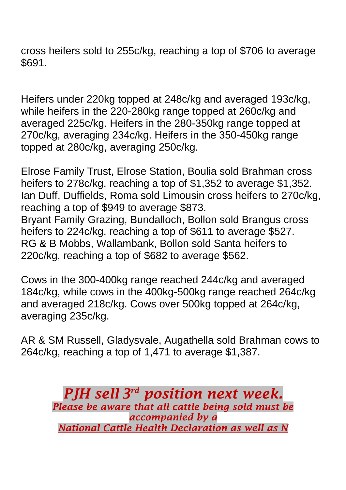cross heifers sold to 255c/kg, reaching a top of \$706 to average \$691.

Heifers under 220kg topped at 248c/kg and averaged 193c/kg, while heifers in the 220-280kg range topped at 260c/kg and averaged 225c/kg. Heifers in the 280-350kg range topped at 270c/kg, averaging 234c/kg. Heifers in the 350-450kg range topped at 280c/kg, averaging 250c/kg.

Elrose Family Trust, Elrose Station, Boulia sold Brahman cross heifers to 278c/kg, reaching a top of \$1,352 to average \$1,352. Ian Duff, Duffields, Roma sold Limousin cross heifers to 270c/kg, reaching a top of \$949 to average \$873. Bryant Family Grazing, Bundalloch, Bollon sold Brangus cross heifers to 224c/kg, reaching a top of \$611 to average \$527. RG & B Mobbs, Wallambank, Bollon sold Santa heifers to 220c/kg, reaching a top of \$682 to average \$562.

Cows in the 300-400kg range reached 244c/kg and averaged 184c/kg, while cows in the 400kg-500kg range reached 264c/kg and averaged 218c/kg. Cows over 500kg topped at 264c/kg, averaging 235c/kg.

AR & SM Russell, Gladysvale, Augathella sold Brahman cows to 264c/kg, reaching a top of 1,471 to average \$1,387.

> *PJH sell 3 rd position next week. Please be aware that all cattle being sold must be accompanied by a National Cattle Health Declaration as well as N*